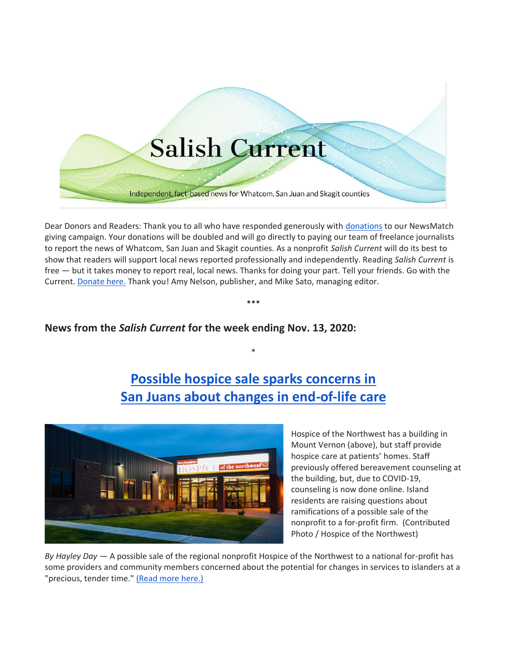# **Salish Current**

Independent, fact-based news for Whatcom, San Juan and Skagit counties

Dear Donors and Readers: Thank you to all who have responded generously with [donations](https://salish-current.org/donate/) to our NewsMatch giving campaign. Your donations will be doubled and will go directly to paying our team of freelance journalists to report the news of Whatcom, San Juan and Skagit counties. As a nonprofit *Salish Current* will do its best to show that readers will support local news reported professionally and independently. Reading *Salish Current* is free — but it takes money to report real, local news. Thanks for doing your part. Tell your friends. Go with the Current. [Donate here.](https://salish-current.org/donate/) Thank you! Amy Nelson, publisher, and Mike Sato, managing editor.

\*\*\*

## **News from the** *Salish Current* **for the week ending Nov. 13, 2020:**

## **[Possible hospice sale sparks concerns in](https://salish-current.org/2020/11/13/possible-hospice-sale-sparks-concerns-in-san-juans-about-changes-in-end-of-life-care/) [San Juans about changes in end-of-life care](https://salish-current.org/2020/11/13/possible-hospice-sale-sparks-concerns-in-san-juans-about-changes-in-end-of-life-care/)**

\*



Hospice of the Northwest has a building in Mount Vernon (above), but staff provide hospice care at patients' homes. Staff previously offered bereavement counseling at the building, but, due to COVID-19, counseling is now done online. Island residents are raising questions about ramifications of a possible sale of the nonprofit to a for-profit firm. (Contributed Photo / Hospice of the Northwest)

*By Hayley Day* — A possible sale of the regional nonprofit Hospice of the Northwest to a national for-profit has some providers and community members concerned about the potential for changes in services to islanders at a "precious, tender time." [\(Read more here.\)](https://salish-current.org/2020/11/13/possible-hospice-sale-sparks-concerns-in-san-juans-about-changes-in-end-of-life-care/)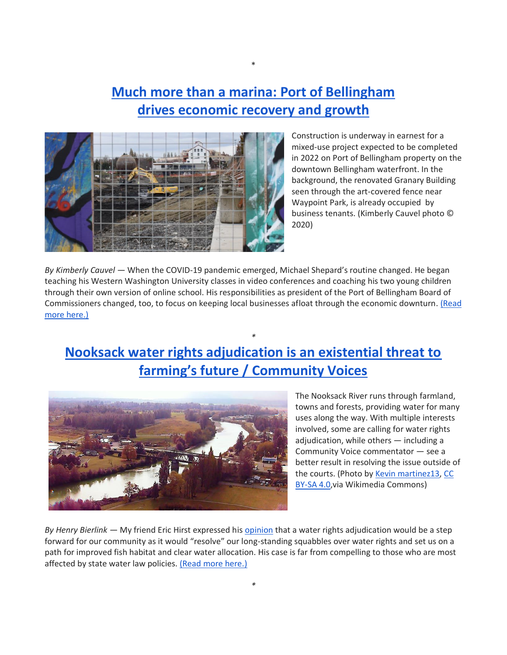## **[Much more than a marina: Port of Bellingham](https://salish-current.org/2020/11/13/much-more-than-a-marina-port-of-bellingham-drives-economic-recovery-and-growth/) [drives economic recovery and growth](https://salish-current.org/2020/11/13/much-more-than-a-marina-port-of-bellingham-drives-economic-recovery-and-growth/)**

\*



Construction is underway in earnest for a mixed-use project expected to be completed in 2022 on Port of Bellingham property on the downtown Bellingham waterfront. In the background, the renovated Granary Building seen through the art-covered fence near Waypoint Park, is already occupied by business tenants. (Kimberly Cauvel photo © 2020)

*By Kimberly Cauvel* — When the COVID-19 pandemic emerged, Michael Shepard's routine changed. He began teaching his Western Washington University classes in video conferences and coaching his two young children through their own version of online school. His responsibilities as president of the Port of Bellingham Board of Commissioners changed, too, to focus on keeping local businesses afloat through the economic downturn. (Read [more here.\)](https://salish-current.org/2020/11/13/much-more-than-a-marina-port-of-bellingham-drives-economic-recovery-and-growth/)

# **[Nooksack water rights adjudication is an existential threat to](https://salish-current.org/2020/11/13/nooksack-water-rights-adjudication-is-an-existential-threat-to-farmings-future-community-voices/)  [farming's future / Community Voices](https://salish-current.org/2020/11/13/nooksack-water-rights-adjudication-is-an-existential-threat-to-farmings-future-community-voices/)**

*\**



The Nooksack River runs through farmland, towns and forests, providing water for many uses along the way. With multiple interests involved, some are calling for water rights adjudication, while others — including a Community Voice commentator — see a better result in resolving the issue outside of the courts. (Photo by [Kevin martinez13,](https://commons.wikimedia.org/wiki/File:Noonsack_river-aerial.jpg) [CC](https://creativecommons.org/licenses/by-sa/4.0)  [BY-SA 4.0,](https://creativecommons.org/licenses/by-sa/4.0)via Wikimedia Commons)

*By Henry Bierlink —* My friend Eric Hirst expressed his [opinion](https://salish-current.org/2020/10/09/whose-water-is-it-in-whatcom-county-community-voices/) that a water rights adjudication would be a step forward for our community as it would "resolve" our long-standing squabbles over water rights and set us on a path for improved fish habitat and clear water allocation. His case is far from compelling to those who are most affected by state water law policies. [\(Read more here.\)](https://salish-current.org/2020/11/13/nooksack-water-rights-adjudication-is-an-existential-threat-to-farmings-future-community-voices/)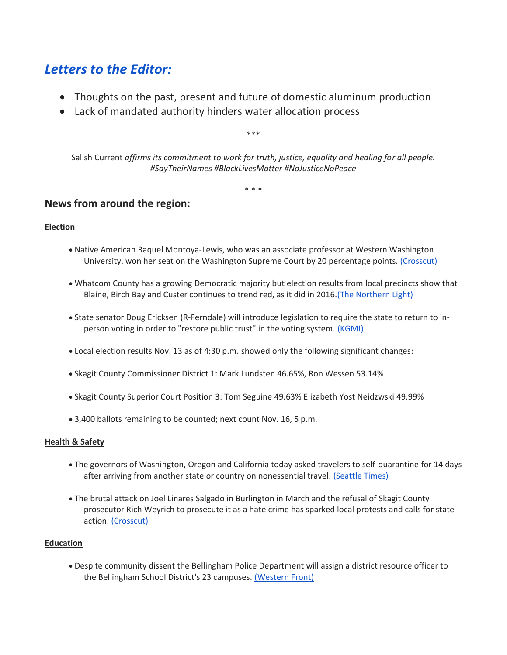## *[Letters to the Editor:](https://salish-current.org/letters-to-the-editor/)*

- Thoughts on the past, present and future of domestic aluminum production
- Lack of mandated authority hinders water allocation process

\*\*\*

Salish Current *affirms its commitment to work for truth, justice, equality and healing for all people. #SayTheirNames #BlackLivesMatter #NoJusticeNoPeace*

\* \* \*

### **News from around the region:**

#### **Election**

- Native American Raquel Montoya-Lewis, who was an associate professor at Western Washington University, won her seat on the Washington Supreme Court by 20 percentage points. [\(Crosscut\)](https://crosscut.com/politics/2020/11/was-first-native-supreme-court-justice-works-so-she-wont-be-last)
- Whatcom County has a growing Democratic majority but election results from local precincts show that Blaine, Birch Bay and Custer continues to trend red, as it did in 2016[.\(The Northern Light\)](https://www.thenorthernlight.com/stories/blaine-birch-bay-and-custer-voted-for-republicans-across-the-board,11900?)
- State senator Doug Ericksen (R-Ferndale) will introduce legislation to require the state to return to inperson voting in order to "restore public trust" in the voting system. [\(KGMI\)](https://kgmi.com/news/007700-local-state-senator-prepares-bill-to-cancel-mail-in-voting/)
- Local election results Nov. 13 as of 4:30 p.m. showed only the following significant changes:
- Skagit County Commissioner District 1: Mark Lundsten 46.65%, Ron Wessen 53.14%
- Skagit County Superior Court Position 3: Tom Seguine 49.63% Elizabeth Yost Neidzwski 49.99%
- 3,400 ballots remaining to be counted; next count Nov. 16, 5 p.m.

#### **Health & Safety**

- The governors of Washington, Oregon and California today asked travelers to self-quarantine for 14 days after arriving from another state or country on nonessential travel. [\(Seattle Times\)](https://www.seattletimes.com/seattle-news/washington-california-oregon-urge-people-who-have-traveled-to-quarantine-for-14-days/)
- The brutal attack on Joel Linares Salgado in Burlington in March and the refusal of Skagit County prosecutor Rich Weyrich to prosecute it as a hate crime has sparked local protests and calls for state action. [\(Crosscut\)](https://crosscut.com/equity/2020/11/skagit-valley-attack-brings-wa-hate-crime-laws-question)

#### **Education**

• Despite community dissent the Bellingham Police Department will assign a district resource officer to the Bellingham School District's 23 campuses. [\(Western Front\)](https://www.westernfrontonline.com/2020/11/10/resource-officer/)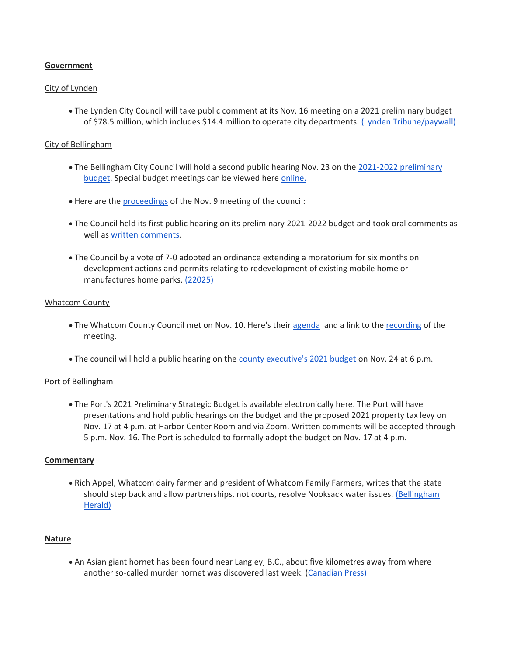#### **Government**

#### City of Lynden

• The Lynden City Council will take public comment at its Nov. 16 meeting on a 2021 preliminary budget of \$78.5 million, which includes \$14.4 million to operate city departments. [\(Lynden Tribune/paywall\)](https://www.lyndentribune.com/news/mayor-proposes-a-budget-for-2021/article_c6468a08-1333-11eb-a627-e7801f6e91bd.html)

#### City of Bellingham

- The Bellingham City Council will hold a second public hearing Nov. 23 on the [2021-2022 preliminary](https://cob.org/wp-content/uploads/2021-22-Preliminary-Budget.pdf)  [budget.](https://cob.org/wp-content/uploads/2021-22-Preliminary-Budget.pdf) Special budget meetings can be viewed here [online.](https://meetings.cob.org/)
- Here are the [proceedings](https://meetings.cob.org/Meetings/ViewMeeting?id=2292&doctype=1) of the Nov. 9 meeting of the council:
- The Council held its first public hearing on its preliminary 2021-2022 budget and took oral comments as well as [written comments.](https://meetings.cob.org/Documents/ViewDocument/Attachment%20-%20PUBLIC%20COMMENT%20-%20AB_%2022800.pdf?meetingId=2292&documentType=Agenda&itemId=16635&publishId=18381&isSection=false)
- The Council by a vote of 7-0 adopted an ordinance extending a moratorium for six months on development actions and permits relating to redevelopment of existing mobile home or manufactures home parks. [\(22025\)](https://meetings.cob.org/Documents/ViewDocument/Attachment%20-%20ORDINANCE%20-%20AB_%2022025.pdf?meetingId=2292&documentType=Agenda&itemId=16631&publishId=18452&isSection=false)

#### Whatcom County

- The Whatcom County Council met on Nov. 10. Here's their [agenda](https://whatcom.legistar.com/View.ashx?M=E2&ID=735073&GUID=5893C0F9-4EAC-4AB7-A6C6-199B18FBE5E2) and a link to the [recording](http://whatcom.granicus.com/player/clip/461?view_id=1&redirect=true) of the meeting.
- The council will hold a public hearing on the [county executive's 2021 budget](https://www.whatcomcounty.us/DocumentCenter/View/51302/2021-22-Executives-Recommended-Budget---Volume-1) on Nov. 24 at 6 p.m.

#### Port of Bellingham

• The Port's 2021 Preliminary Strategic Budget is available electronically here. The Port will have presentations and hold public hearings on the budget and the proposed 2021 property tax levy on Nov. 17 at 4 p.m. at Harbor Center Room and via Zoom. Written comments will be accepted through 5 p.m. Nov. 16. The Port is scheduled to formally adopt the budget on Nov. 17 at 4 p.m.

#### **Commentary**

• Rich Appel, Whatcom dairy farmer and president of Whatcom Family Farmers, writes that the state should step back and allow partnerships, not courts, resolve Nooksack water issues. [\(Bellingham](https://www.bellinghamherald.com/opinion/op-ed/article247152456.html)  [Herald\)](https://www.bellinghamherald.com/opinion/op-ed/article247152456.html)

#### **Nature**

• An Asian giant hornet has been found near Langley, B.C., about five kilometres away from where another so-called murder hornet was discovered last week. [\(Canadian Press\)](https://www.cbc.ca/news/canada/british-columbia/6th-asian-giant-hornet-to-be-discovered-in-b-c-found-in-fraser-valley-1.5797706)